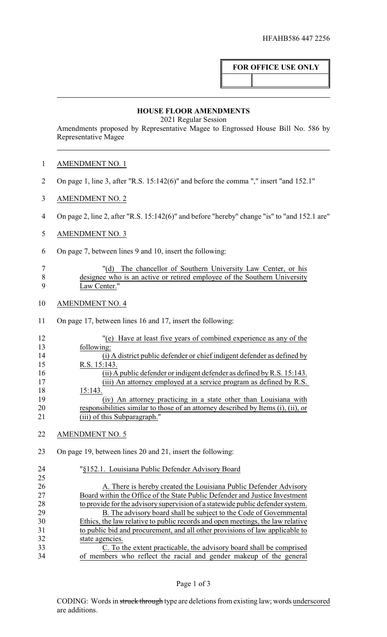## **FOR OFFICE USE ONLY**

## **HOUSE FLOOR AMENDMENTS**

2021 Regular Session

Amendments proposed by Representative Magee to Engrossed House Bill No. 586 by Representative Magee

| <b>AMENDMENT NO. 1</b> |
|------------------------|
|------------------------|

- On page 1, line 3, after "R.S. 15:142(6)" and before the comma "," insert "and 152.1"
- AMENDMENT NO. 2
- On page 2, line 2, after "R.S. 15:142(6)" and before "hereby" change "is" to "and 152.1 are"
- AMENDMENT NO. 3
- On page 7, between lines 9 and 10, insert the following:

|   | "(d) The chancellor of Southern University Law Center, or his            |
|---|--------------------------------------------------------------------------|
|   | designee who is an active or retired employee of the Southern University |
| Q | Law Center."                                                             |

- AMENDMENT NO. 4
- On page 17, between lines 16 and 17, insert the following:

| 12 | "(e) Have at least five years of combined experience as any of the                |
|----|-----------------------------------------------------------------------------------|
| 13 | following:                                                                        |
| 14 | (i) A district public defender or chief indigent defender as defined by           |
| 15 | R.S. 15:143.                                                                      |
| 16 | (ii) A public defender or indigent defender as defined by R.S. $15:143$ .         |
| 17 | (iii) An attorney employed at a service program as defined by R.S.                |
| 18 | 15:143.                                                                           |
| 19 | (iv) An attorney practicing in a state other than Louisiana with                  |
| 20 | responsibilities similar to those of an attorney described by Items (i), (ii), or |
| 21 | (iii) of this Subparagraph."                                                      |
|    |                                                                                   |
| 22 | MENDMENT NO. 5                                                                    |

On page 19, between lines 20 and 21, insert the following:

| 24 | "§152.1. Louisiana Public Defender Advisory Board                              |
|----|--------------------------------------------------------------------------------|
| 25 |                                                                                |
| 26 | A. There is hereby created the Louisiana Public Defender Advisory              |
| 27 | Board within the Office of the State Public Defender and Justice Investment    |
| 28 | to provide for the advisory supervision of a statewide public defender system. |
| 29 | B. The advisory board shall be subject to the Code of Governmental             |
| 30 | Ethics, the law relative to public records and open meetings, the law relative |
| 31 | to public bid and procurement, and all other provisions of law applicable to   |
| 32 | state agencies.                                                                |
| 33 | C. To the extent practicable, the advisory board shall be comprised            |
| 34 | of members who reflect the racial and gender makeup of the general             |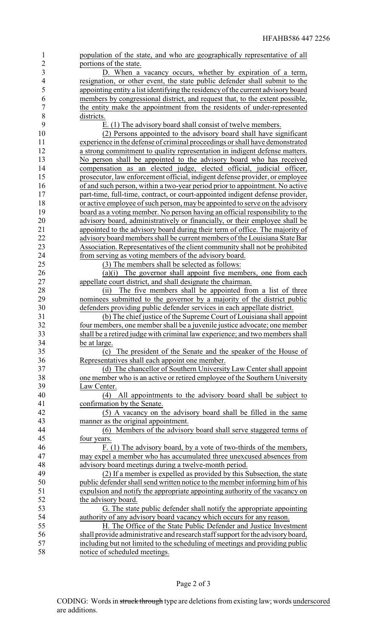| $\mathbf{1}$   | population of the state, and who are geographically representative of all                                                                        |
|----------------|--------------------------------------------------------------------------------------------------------------------------------------------------|
| $\overline{2}$ | portions of the state.                                                                                                                           |
| 3              | D. When a vacancy occurs, whether by expiration of a term,                                                                                       |
| $\overline{4}$ | resignation, or other event, the state public defender shall submit to the                                                                       |
| 5              | appointing entity a list identifying the residency of the current advisory board                                                                 |
| 6              | members by congressional district, and request that, to the extent possible,                                                                     |
| $\overline{7}$ | the entity make the appointment from the residents of under-represented                                                                          |
| $8\,$          | districts.                                                                                                                                       |
| 9              | E. (1) The advisory board shall consist of twelve members.                                                                                       |
| 10             | (2) Persons appointed to the advisory board shall have significant                                                                               |
| 11             | experience in the defense of criminal proceedings or shall have demonstrated                                                                     |
| 12             | a strong commitment to quality representation in indigent defense matters.                                                                       |
| 13             | No person shall be appointed to the advisory board who has received                                                                              |
| 14             | compensation as an elected judge, elected official, judicial officer,                                                                            |
| 15             | prosecutor, law enforcement official, indigent defense provider, or employee                                                                     |
| 16             | of and such person, within a two-year period prior to appointment. No active                                                                     |
| 17             | part-time, full-time, contract, or court-appointed indigent defense provider,                                                                    |
| 18             | or active employee of such person, may be appointed to serve on the advisory                                                                     |
| 19             | board as a voting member. No person having an official responsibility to the                                                                     |
| 20             | advisory board, administratively or financially, or their employee shall be                                                                      |
| 21             | appointed to the advisory board during their term of office. The majority of                                                                     |
| 22             | advisory board members shall be current members of the Louisiana State Bar                                                                       |
| 23             | Association. Representatives of the client community shall not be prohibited                                                                     |
| 24             | from serving as voting members of the advisory board.                                                                                            |
| 25             | (3) The members shall be selected as follows:                                                                                                    |
| 26             | (a)(i) The governor shall appoint five members, one from each                                                                                    |
| 27             | appellate court district, and shall designate the chairman.                                                                                      |
| 28             | The five members shall be appointed from a list of three<br>(i)                                                                                  |
| 29             | nominees submitted to the governor by a majority of the district public                                                                          |
| 30             | defenders providing public defender services in each appellate district.                                                                         |
| 31             | (b) The chief justice of the Supreme Court of Louisiana shall appoint                                                                            |
| 32             | four members, one member shall be a juvenile justice advocate; one member                                                                        |
| 33             | shall be a retired judge with criminal law experience; and two members shall                                                                     |
| 34             | be at large.                                                                                                                                     |
| 35             | (c) The president of the Senate and the speaker of the House of                                                                                  |
| 36<br>37       | Representatives shall each appoint one member.                                                                                                   |
| 38             | (d) The chancellor of Southern University Law Center shall appoint<br>one member who is an active or retired employee of the Southern University |
| 39             | Law Center.                                                                                                                                      |
| 40             | (4) All appointments to the advisory board shall be subject to                                                                                   |
| 41             | confirmation by the Senate.                                                                                                                      |
| 42             | (5) A vacancy on the advisory board shall be filled in the same                                                                                  |
| 43             | manner as the original appointment.                                                                                                              |
| 44             | Members of the advisory board shall serve staggered terms of<br>(6)                                                                              |
| 45             | four years.                                                                                                                                      |
| 46             | F. (1) The advisory board, by a vote of two-thirds of the members,                                                                               |
| 47             | may expel a member who has accumulated three unexcused absences from                                                                             |
| 48             | advisory board meetings during a twelve-month period.                                                                                            |
| 49             | (2) If a member is expelled as provided by this Subsection, the state                                                                            |
| 50             | public defender shall send written notice to the member informing him of his                                                                     |
| 51             | expulsion and notify the appropriate appointing authority of the vacancy on                                                                      |
| 52             | the advisory board.                                                                                                                              |
| 53             | G. The state public defender shall notify the appropriate appointing                                                                             |
| 54             | authority of any advisory board vacancy which occurs for any reason.                                                                             |
| 55             | H. The Office of the State Public Defender and Justice Investment                                                                                |
| 56             | shall provide administrative and research staff support for the advisory board,                                                                  |
| 57             | including but not limited to the scheduling of meetings and providing public                                                                     |
| 58             | notice of scheduled meetings.                                                                                                                    |
|                |                                                                                                                                                  |